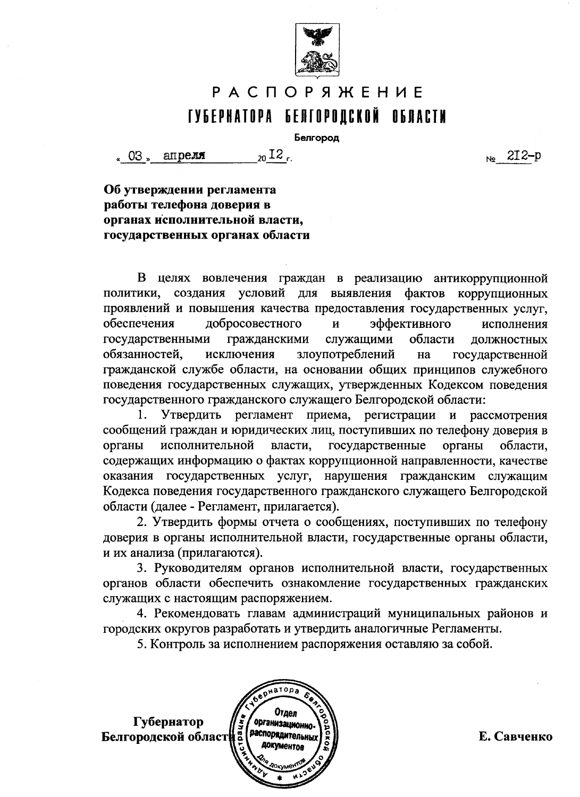

# **РАСПОРЯЖЕНИЕ** ГУБЕРНАТОРА БЕЛГОРОДСКОЙ ОБЛАСТИ

Белгород

 $_{20}$  I2  $_{\sim}$ апреля 。03 »

 $N_0$  2I2-p

Об утверждении регламента работы телефона доверия в органах исполнительной власти, государственных органах области

В целях вовлечения граждан в реализацию антикоррупционной создания условий для выявления фактов коррупционных политики, проявлений и повышения качества предоставления государственных услуг. обеспечения добросовестного  $\mathbf{M}$ эффективного исполнения государственными гражданскими служащими области **ДОЛЖНОСТНЫХ** злоупотреблений обязанностей, исключения на государственной гражданской службе области, на основании общих принципов служебного поведения государственных служащих, утвержденных Кодексом поведения государственного гражданского служащего Белгородской области:

Утвердить регламент приема, регистрации и рассмотрения сообщений граждан и юридических лиц, поступивших по телефону доверия в органы исполнительной власти, государственные органы области, содержащих информацию о фактах коррупционной направленности, качестве оказания государственных услуг, нарушения гражданским служащим Кодекса поведения государственного гражданского служащего Белгородской области (далее - Регламент, прилагается).

2. Утвердить формы отчета о сообщениях, поступивших по телефону доверия в органы исполнительной власти, государственные органы области, и их анализа (прилагаются).

3. Руководителям органов исполнительной власти, государственных органов области обеспечить ознакомление государственных гражданских служащих с настоящим распоряжением.

4. Рекомендовать главам администраций муниципальных районов и городских округов разработать и утвердить аналогичные Регламенты.

5. Контроль за исполнением распоряжения оставляю за собой.



Е. Савченко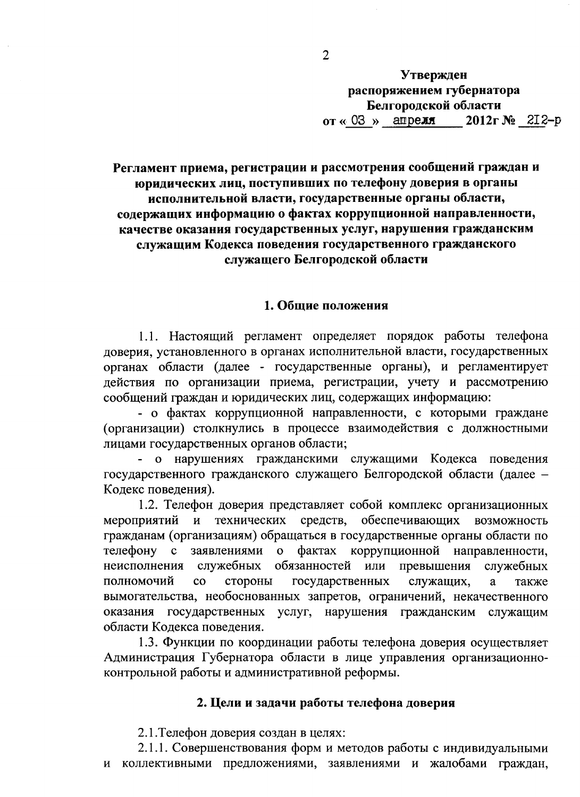#### Утвержден распоряжением губернатора Белгородской области or  $\ll$  03  $\times$  anpeximate  $2012r$  Ne  $2I2-p$

Регламент приема, регистрации и рассмотрения сообщений граждан и юридических лиц, поступивших по телефону доверия в органы исполнительной власти, государственные органы области, содержащих информацию о фактах коррупционной направленности, качестве оказания государственных услуг, нарушения гражданским служащим Кодекса поведения государственного гражданского служащего Белгородской области

## 1. Общие положения

1.1. Настоящий регламент определяет порядок работы телефона доверия, установленного в органах исполнительной власти, государственных органах области (далее - государственные органы), и регламентирует действия по организации приема, регистрации, учету и рассмотрению сообщений граждан и юридических лиц, содержащих информацию:

- о фактах коррупционной направленности, с которыми граждане (организации) столкнулись в процессе взаимодействия с должностными лицами государственных органов области;

- о нарушениях гражданскими служащими Кодекса поведения государственного гражданского служащего Белгородской области (далее -Кодекс поведения).

1.2. Телефон доверия представляет собой комплекс организационных мероприятий и технических средств, обеспечивающих возможность гражданам (организациям) обращаться в государственные органы области по фактах заявлениями коррупционной направленности, телефону с  $\mathbf{O}$ неисполнения служебных обязанностей или превышения служебных полномочий стороны государственных служащих,  $\overline{c}$ a также вымогательства, необоснованных запретов, ограничений, некачественного оказания государственных услуг, нарушения гражданским служащим области Кодекса поведения.

1.3. Функции по координации работы телефона доверия осуществляет Администрация Губернатора области в лице управления организационноконтрольной работы и административной реформы.

## 2. Цели и задачи работы телефона доверия

2.1. Телефон доверия создан в целях:

2.1.1. Совершенствования форм и методов работы с индивидуальными и коллективными предложениями, заявлениями и жалобами граждан,

 $\overline{2}$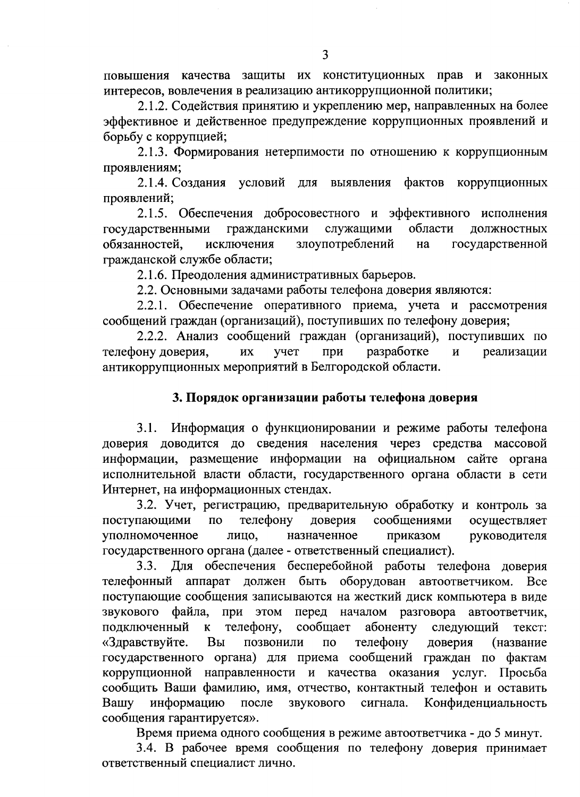повышения качества защиты их конституционных прав и законных интересов, вовлечения в реализацию антикоррупционной политики;

2.1.2. Содействия принятию и укреплению мер, направленных на более эффективное и действенное предупреждение коррупционных проявлений и борьбу с коррупцией;

2.1.3. Формирования нетерпимости по отношению к коррупционным проявлениям;

2.1.4. Создания условий для выявления фактов коррупционных проявлений;

2.1.5. Обеспечения добросовестного и эффективного исполнения гражданскими служащими области государственными должностных обязанностей. злоупотреблений исключения на государственной гражданской службе области;

2.1.6. Преодоления административных барьеров.

2.2. Основными задачами работы телефона доверия являются:

2.2.1. Обеспечение оперативного приема, учета и рассмотрения сообщений граждан (организаций), поступивших по телефону доверия;

2.2.2. Анализ сообщений граждан (организаций), поступивших по телефону доверия. разработке реализации ИX учет при  $\mathbf{M}$ антикоррупционных мероприятий в Белгородской области.

#### 3. Порядок организации работы телефона доверия

Информация о функционировании и режиме работы телефона  $3.1.$ доверия доводится до сведения населения через средства массовой информации, размещение информации на официальном сайте органа исполнительной власти области, государственного органа области в сети Интернет, на информационных стендах.

3.2. Учет, регистрацию, предварительную обработку и контроль за телефону сообщениями осуществляет поступающими  $\overline{a}$ доверия уполномоченное назначенное приказом руководителя лицо. государственного органа (далее - ответственный специалист).

Для обеспечения бесперебойной работы телефона доверия  $3.3.$ телефонный аппарат должен быть оборудован автоответчиком. **Bce** поступающие сообщения записываются на жесткий диск компьютера в виде звукового файла, при этом перед началом разговора автоответчик, абоненту подключенный  $\mathbf{K}$ телефону. сообщает следующий текст: «Здравствуйте. позвонили телефону Вы доверия  $\overline{10}$ (название государственного органа) для приема сообщений граждан по фактам коррупционной направленности и качества оказания услуг. Просьба сообщить Ваши фамилию, имя, отчество, контактный телефон и оставить информацию звукового сигнала. Конфиденциальность Вашу после сообщения гарантируется».

Время приема одного сообщения в режиме автоответчика - до 5 минут.

3.4. В рабочее время сообщения по телефону доверия принимает ответственный специалист лично.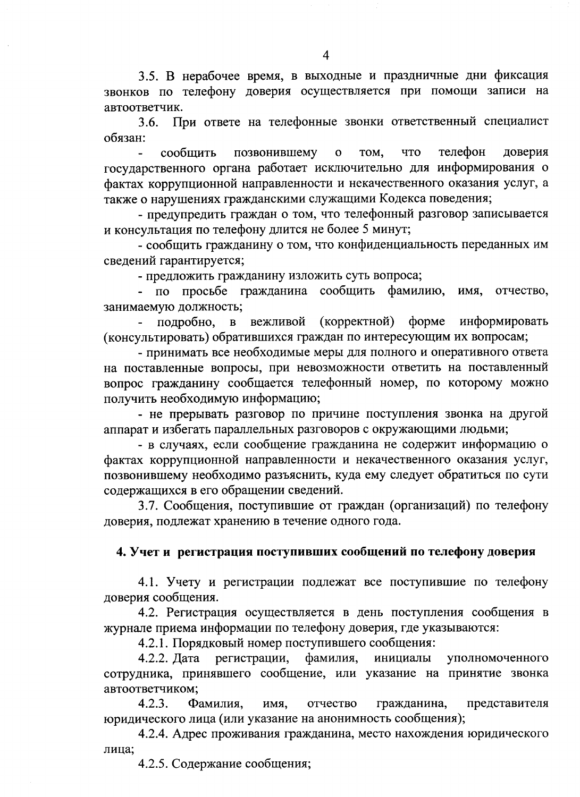3.5. В нерабочее время, в выходные и праздничные дни фиксация звонков по телефону доверия осуществляется при помощи записи на автоответчик.

3.6. При ответе на телефонные звонки ответственный специалист обязан:

телефон позвонившему TOM, что доверия сообщить  $\overline{O}$ государственного органа работает исключительно для информирования о фактах коррупционной направленности и некачественного оказания услуг, а также о нарушениях гражданскими служащими Кодекса поведения;

- предупредить граждан о том, что телефонный разговор записывается и консультация по телефону длится не более 5 минут;

- сообщить гражданину о том, что конфиденциальность переданных им сведений гарантируется;

- предложить гражданину изложить суть вопроса;

- по просьбе гражданина сообщить фамилию, имя, отчество, занимаемую должность;

(корректной)  $\phi$ opme информировать подробно, вежливой  $\, {\bf B}$ (консультировать) обратившихся граждан по интересующим их вопросам;

- принимать все необходимые меры для полного и оперативного ответа на поставленные вопросы, при невозможности ответить на поставленный вопрос гражданину сообщается телефонный номер, по которому можно получить необходимую информацию;

- не прерывать разговор по причине поступления звонка на другой аппарат и избегать параллельных разговоров с окружающими людьми;

- в случаях, если сообщение гражданина не содержит информацию о фактах коррупционной направленности и некачественного оказания услуг. позвонившему необходимо разъяснить, куда ему следует обратиться по сути содержащихся в его обращении сведений.

3.7. Сообщения, поступившие от граждан (организаций) по телефону доверия, подлежат хранению в течение одного года.

#### 4. Учет и регистрация поступивших сообщений по телефону доверия

4.1. Учету и регистрации подлежат все поступившие по телефону доверия сообщения.

4.2. Регистрация осуществляется в день поступления сообщения в журнале приема информации по телефону доверия, где указываются:

4.2.1. Порядковый номер поступившего сообщения:

4.2.2. Лата регистрации, фамилия, инициалы уполномоченного сотрудника, принявшего сообщение, или указание на принятие звонка автоответчиком;

 $4.2.3.$ Фамилия, имя, отчество гражданина, представителя юридического лица (или указание на анонимность сообщения);

4.2.4. Адрес проживания гражданина, место нахождения юридического лица;

4.2.5. Содержание сообщения;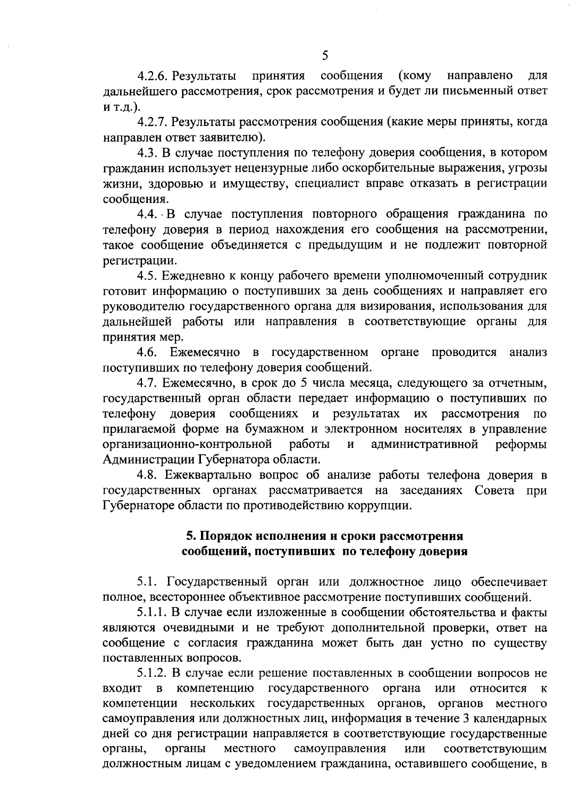4.2.6. Результаты принятия сообщения  $(KOMY)$ направлено ДЛЯ дальнейшего рассмотрения, срок рассмотрения и будет ли письменный ответ и т.д.).

4.2.7. Результаты рассмотрения сообщения (какие меры приняты, когда направлен ответ заявителю).

4.3. В случае поступления по телефону доверия сообщения, в котором гражданин использует нецензурные либо оскорбительные выражения, угрозы жизни, здоровью и имуществу, специалист вправе отказать в регистрации сообщения.

4.4. В случае поступления повторного обращения гражданина по телефону доверия в период нахождения его сообщения на рассмотрении, такое сообщение объединяется с предыдущим и не подлежит повторной регистрации.

4.5. Ежедневно к концу рабочего времени уполномоченный сотрудник готовит информацию о поступивших за день сообщениях и направляет его руководителю государственного органа для визирования, использования для дальнейшей работы или направления в соответствующие органы для принятия мер.

4.6. Ежемесячно в государственном органе проводится анализ поступивших по телефону доверия сообщений.

4.7. Ежемесячно, в срок до 5 числа месяца, следующего за отчетным, государственный орган области передает информацию о поступивших по телефону доверия сообщениях и результатах их рассмотрения  $\overline{10}$ прилагаемой форме на бумажном и электронном носителях в управление организационно-контрольной административной работы  $\overline{M}$ реформы Администрации Губернатора области.

4.8. Ежеквартально вопрос об анализе работы телефона доверия в государственных органах рассматривается на заседаниях Совета при Губернаторе области по противодействию коррупции.

# 5. Порядок исполнения и сроки рассмотрения сообщений, поступивших по телефону доверия

5.1. Государственный орган или должностное лицо обеспечивает полное, всестороннее объективное рассмотрение поступивших сообщений.

5.1.1. В случае если изложенные в сообщении обстоятельства и факты являются очевидными и не требуют дополнительной проверки, ответ на сообщение с согласия гражданина может быть дан устно по существу поставленных вопросов.

5.1.2. В случае если решение поставленных в сообщении вопросов не в компетенцию государственного органа или относится **ВХОДИТ**  $\mathbf{K}$ компетенции нескольких государственных органов, органов местного самоуправления или должностных лиц, информация в течение 3 календарных дней со дня регистрации направляется в соответствующие государственные органы, органы местного самоуправления соответствующим ИЛИ должностным лицам с уведомлением гражданина, оставившего сообщение, в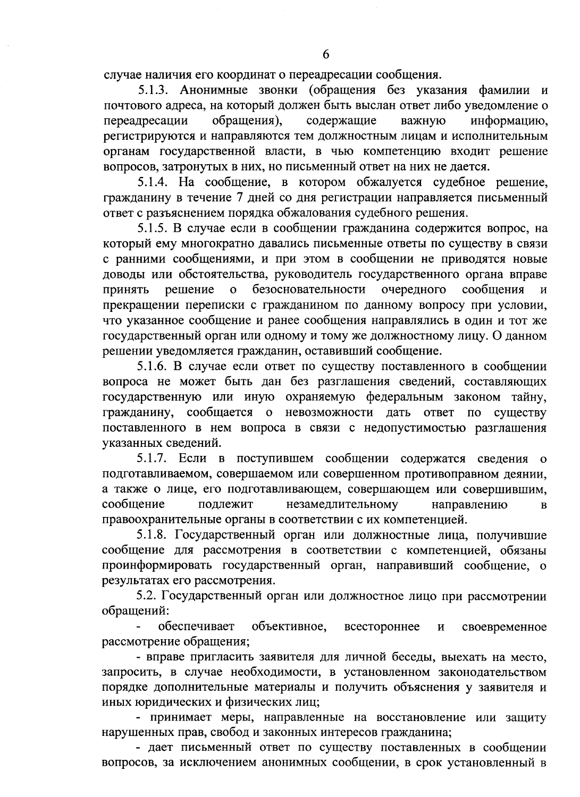случае наличия его координат о переадресации сообщения.

5.1.3. Анонимные звонки (обращения без указания фамилии и почтового адреса, на который должен быть выслан ответ либо уведомление о обращения), содержащие переадресации важную информацию. регистрируются и направляются тем должностным лицам и исполнительным органам государственной власти, в чью компетенцию входит решение вопросов, затронутых в них, но письменный ответ на них не дается.

5.1.4. На сообщение, в котором обжалуется судебное решение, гражданину в течение 7 дней со дня регистрации направляется письменный ответ с разъяснением порядка обжалования судебного решения.

5.1.5. В случае если в сообщении гражданина содержится вопрос, на который ему многократно давались письменные ответы по существу в связи с ранними сообщениями, и при этом в сообщении не приводятся новые доводы или обстоятельства, руководитель государственного органа вправе безосновательности очередного Принять сообщения решение  $\mathbf{o}$ прекращении переписки с гражданином по данному вопросу при условии, что указанное сообщение и ранее сообщения направлялись в один и тот же государственный орган или одному и тому же должностному лицу. О данном решении уведомляется гражданин, оставивший сообщение.

5.1.6. В случае если ответ по существу поставленного в сообщении вопроса не может быть дан без разглашения сведений, составляющих государственную или иную охраняемую федеральным законом тайну, гражданину, сообщается о невозможности дать ответ по существу поставленного в нем вопроса в связи с недопустимостью разглашения указанных сведений.

5.1.7. Если в поступившем сообщении содержатся сведения о подготавливаемом, совершаемом или совершенном противоправном деянии, а также о лице, его подготавливающем, совершающем или совершившим, сообщение подлежит незамедлительному направлению  $\overline{B}$ правоохранительные органы в соответствии с их компетенцией.

5.1.8. Государственный орган или должностные лица, получившие сообщение для рассмотрения в соответствии с компетенцией, обязаны проинформировать государственный орган, направивший сообщение, о результатах его рассмотрения.

5.2. Государственный орган или должностное лицо при рассмотрении обращений:

обеспечивает объективное, всестороннее своевременное И рассмотрение обращения;

- вправе пригласить заявителя для личной беседы, выехать на место, запросить, в случае необходимости, в установленном законодательством порядке дополнительные материалы и получить объяснения у заявителя и иных юридических и физических лиц;

- принимает меры, направленные на восстановление или защиту нарушенных прав, свобод и законных интересов гражданина;

- дает письменный ответ по существу поставленных в сообщении вопросов, за исключением анонимных сообщении, в срок установленный в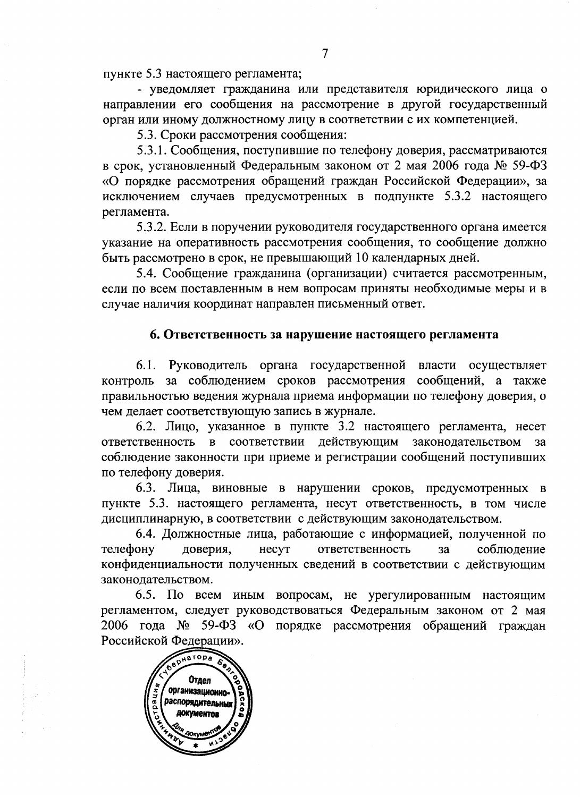пункте 5.3 настоящего регламента;

- уведомляет гражданина или представителя юридического лица о направлении его сообщения на рассмотрение в другой государственный орган или иному должностному лицу в соответствии с их компетенцией.

5.3. Сроки рассмотрения сообщения:

5.3.1. Сообщения, поступившие по телефону доверия, рассматриваются в срок, установленный Федеральным законом от 2 мая 2006 года № 59-ФЗ «О порядке рассмотрения обращений граждан Российской Федерации», за исключением случаев предусмотренных в подпункте 5.3.2 настоящего регламента.

5.3.2. Если в поручении руководителя государственного органа имеется указание на оперативность рассмотрения сообщения, то сообщение должно быть рассмотрено в срок, не превышающий 10 календарных дней.

5.4. Сообщение гражданина (организации) считается рассмотренным, если по всем поставленным в нем вопросам приняты необходимые меры и в случае наличия координат направлен письменный ответ.

#### 6. Ответственность за нарушение настоящего регламента

6.1. Руководитель органа государственной власти осуществляет контроль за соблюдением сроков рассмотрения сообщений, а также правильностью ведения журнала приема информации по телефону доверия, о чем делает соответствующую запись в журнале.

6.2. Лицо, указанное в пункте 3.2 настоящего регламента, несет ответственность в соответствии действующим законодательством  $3a$ соблюдение законности при приеме и регистрации сообщений поступивших по телефону доверия.

6.3. Лица, виновные в нарушении сроков, предусмотренных в пункте 5.3. настоящего регламента, несут ответственность, в том числе дисциплинарную, в соответствии с действующим законодательством.

6.4. Должностные лица, работающие с информацией, полученной по телефону доверия, несут ответственность  $3a$ соблюдение конфиденциальности полученных сведений в соответствии с действующим законодательством.

6.5. По всем иным вопросам, не урегулированным настоящим регламентом, следует руководствоваться Федеральным законом от 2 мая 2006 года № 59-ФЗ «О порядке рассмотрения обращений граждан Российской Федерации».

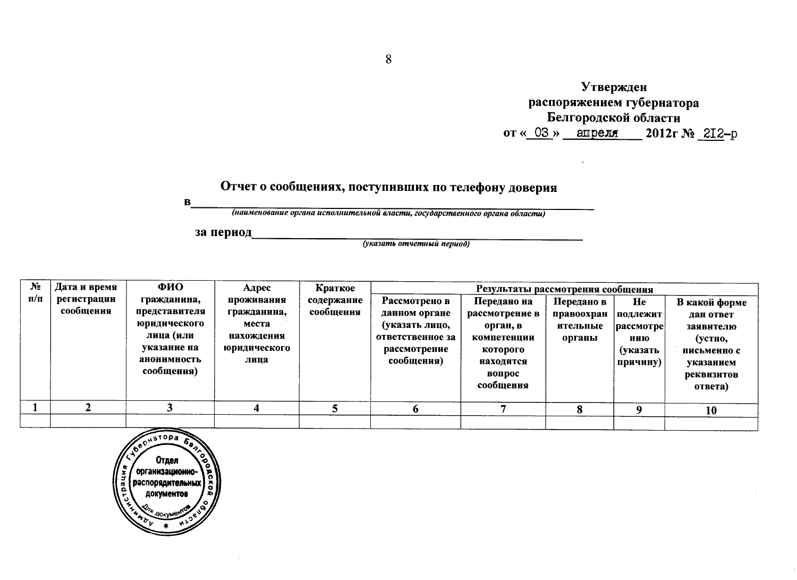Утвержден распоряжением губернатора Белгородской области от « $03 \times$  апреля 2012 г № 212-р

# Отчет о сообщениях, поступивших по телефону доверия

 $\mathbf B$ 

(наименование органа исполнительной власти, государственного органа области)

за период

(указать отчетный период)

| $N_2$     | Дата и время             | ФИО                                                                                                   | Адрес                                                                    | Краткое                 | Результаты рассмотрения сообщения                                                                  |                                                                                                          |                                                |                                                                      |                                                                                                         |
|-----------|--------------------------|-------------------------------------------------------------------------------------------------------|--------------------------------------------------------------------------|-------------------------|----------------------------------------------------------------------------------------------------|----------------------------------------------------------------------------------------------------------|------------------------------------------------|----------------------------------------------------------------------|---------------------------------------------------------------------------------------------------------|
| $\Pi/\Pi$ | регистрации<br>сообщения | гражданина,<br>представителя<br>юридического<br>лица (или<br>указание на<br>анонимность<br>сообщения) | проживания<br>гражданина,<br>места<br>нахождения<br>юридического<br>лица | содержание<br>сообщения | Рассмотрено в<br>данном органе<br>(указать лицо,<br>ответственное за<br>рассмотрение<br>сообщения) | Передано на<br>рассмотрение в<br>орган, в<br>компетенции<br>которого<br>находится<br>вопрос<br>сообщения | Передано в<br>правоохран<br>ительные<br>органы | He<br>подлежит<br>$ {\rm pacc}$ мотре<br>нию<br>(указать<br>причину) | В какой форме<br>дан ответ<br>заявителю<br>(устно,<br>письменно с<br>указанием<br>реквизитов<br>OTBETA) |
|           |                          |                                                                                                       |                                                                          |                         |                                                                                                    |                                                                                                          |                                                |                                                                      | 10                                                                                                      |
|           |                          |                                                                                                       |                                                                          |                         |                                                                                                    |                                                                                                          |                                                |                                                                      |                                                                                                         |